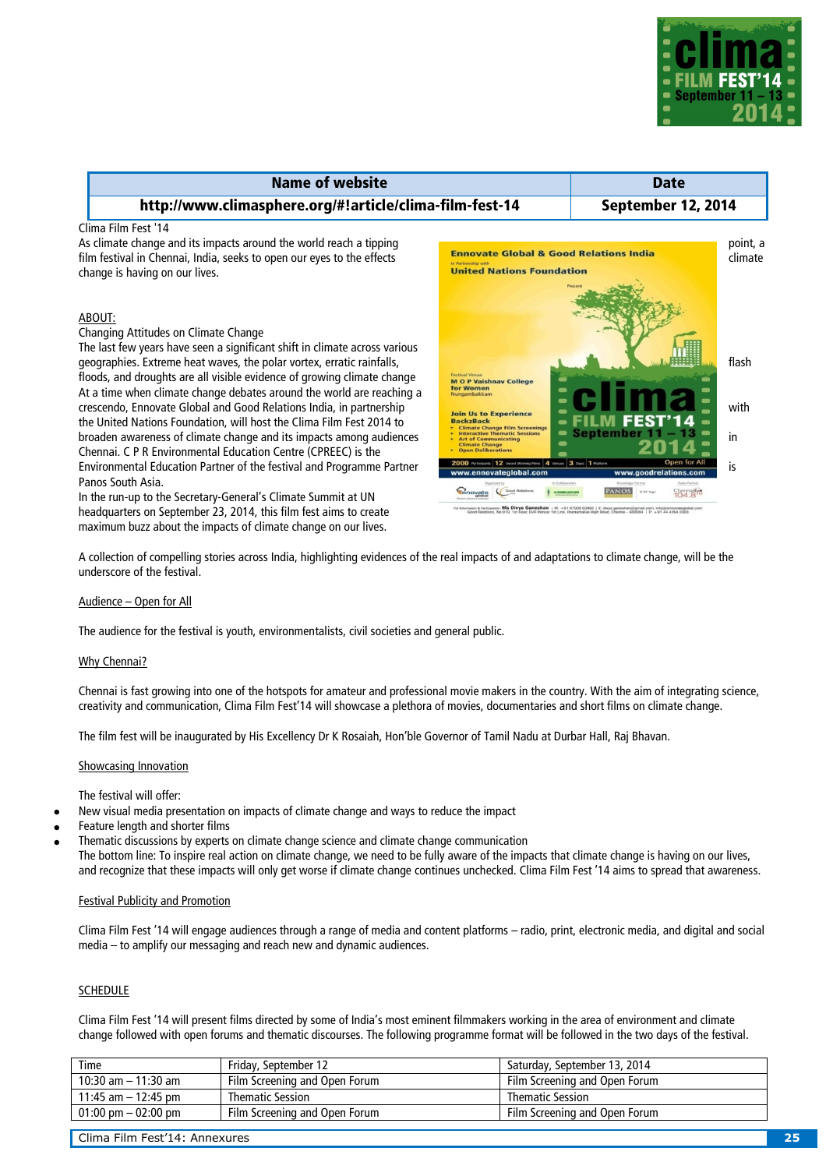

| <b>Name of website</b>                                                                                                                                                                                |                                                                                                              | <b>Date</b>        |                     |
|-------------------------------------------------------------------------------------------------------------------------------------------------------------------------------------------------------|--------------------------------------------------------------------------------------------------------------|--------------------|---------------------|
| http://www.climasphere.org/#!article/clima-film-fest-14                                                                                                                                               |                                                                                                              | September 12, 2014 |                     |
| Clima Film Fest '14<br>As climate change and its impacts around the world reach a tipping<br>film festival in Chennai, India, seeks to open our eyes to the effects<br>change is having on our lives. | <b>Ennovate Global &amp; Good Relations India</b><br>In Partnership with<br><b>United Nations Foundation</b> |                    | point, a<br>climate |

# ABOUT:

Changing Attitudes on Climate Change

The last few years have seen a significant shift in climate across various geographies. Extreme heat waves, the polar vortex, erratic rainfalls, flash and the polar vortex, erratic rainfalls, flash and the polar vortex, erratic rainfalls, flash and the polar vortex, erratic rainfalls, flash and t floods, and droughts are all visible evidence of growing climate change At a time when climate change debates around the world are reaching a crescendo, Ennovate Global and Good Relations India, in partnership with the Experience of the Local Control of the With the United Nations Foundation, will host the Clima Film Fest 2014 to broaden awareness of climate change and its impacts among audiences  $\frac{1}{\sqrt{Nt}}$  at of communicating Chennai. C P R Environmental Education Centre (CPREEC) is the Environmental Education Partner of the festival and Programme Partner  $\frac{2000 \text{ seconds} 12 \text{ hours} \cdot 12 \text{ hours} \cdot 3 \text{ cm} \cdot 1 \text{ hours}}{1000 \text{ seconds} 10 \text{ hours} \cdot 1 \text{ hours}}$ Panos South Asia.

In the run-up to the Secretary-General's Climate Summit at UN headquarters on September 23, 2014, this film fest aims to create maximum buzz about the impacts of climate change on our lives.



Ms Divya Ganeshan | M: +91 97909 63965 | E: divy

A collection of compelling stories across India, highlighting evidences of the real impacts of and adaptations to climate change, will be the underscore of the festival.

# Audience – Open for All

The audience for the festival is youth, environmentalists, civil societies and general public.

#### Why Chennai?

Chennai is fast growing into one of the hotspots for amateur and professional movie makers in the country. With the aim of integrating science, creativity and communication, Clima Film Fest'14 will showcase a plethora of movies, documentaries and short films on climate change.

The film fest will be inaugurated by His Excellency Dr K Rosaiah, Hon'ble Governor of Tamil Nadu at Durbar Hall, Raj Bhavan.

#### Showcasing Innovation

The festival will offer:

- New visual media presentation on impacts of climate change and ways to reduce the impact
- Feature length and shorter films
- Thematic discussions by experts on climate change science and climate change communication

The bottom line: To inspire real action on climate change, we need to be fully aware of the impacts that climate change is having on our lives, and recognize that these impacts will only get worse if climate change continues unchecked. Clima Film Fest '14 aims to spread that awareness.

### Festival Publicity and Promotion

Clima Film Fest '14 will engage audiences through a range of media and content platforms – radio, print, electronic media, and digital and social media – to amplify our messaging and reach new and dynamic audiences.

# SCHEDULE

Clima Film Fest '14 will present films directed by some of India's most eminent filmmakers working in the area of environment and climate change followed with open forums and thematic discourses. The following programme format will be followed in the two days of the festival.

| Time                                  | Friday, September 12          | Saturday, September 13, 2014  |
|---------------------------------------|-------------------------------|-------------------------------|
| 10:30 am $-$ 11:30 am                 | Film Screening and Open Forum | Film Screening and Open Forum |
| 11:45 am $-$ 12:45 pm                 | <b>Thematic Session</b>       | <b>Thematic Session</b>       |
| $01:00 \text{ pm} - 02:00 \text{ pm}$ | Film Screening and Open Forum | Film Screening and Open Forum |

Clima Film Fest'14: Annexures **25**